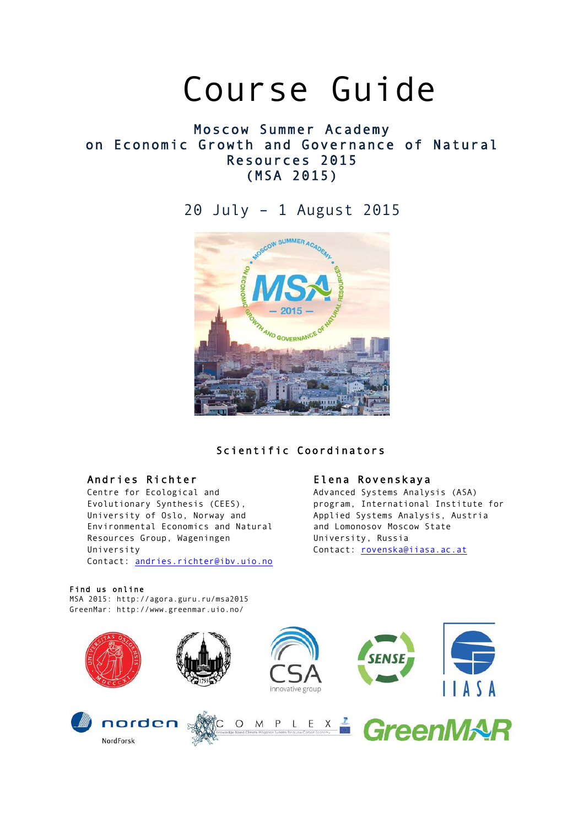# Course Guide

### Moscow Summer Academy on Economic Growth and Governance of Natural Resources 2015 (MSA 2015)

### 20 July – 1 August 2015



### Scientific Coordinators

#### Andries Richter

Centre for Ecological and Evolutionary Synthesis (CEES), University of Oslo, Norway and Environmental Economics and Natural Resources Group, Wageningen University Contact: andries.richter@ibv.uio.no

#### Elena Rovenskaya

Advanced Systems Analysis (ASA) program, International Institute for Applied Systems Analysis, Austria and Lomonosov Moscow State University, Russia Contact: rovenska@iiasa.ac.at

#### Find us online

MSA 2015: http://agora.guru.ru/msa2015 GreenMar: http://www.greenmar.uio.no/

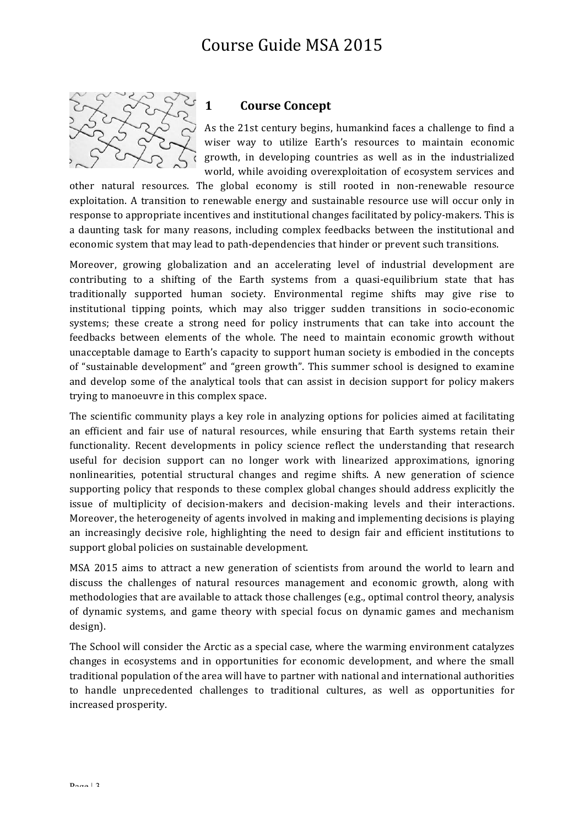

### **1 Course Concept**

As the 21st century begins, humankind faces a challenge to find a wiser way to utilize Earth's resources to maintain economic growth, in developing countries as well as in the industrialized world, while avoiding overexploitation of ecosystem services and

other natural resources. The global economy is still rooted in non-renewable resource exploitation. A transition to renewable energy and sustainable resource use will occur only in response to appropriate incentives and institutional changes facilitated by policy-makers. This is a daunting task for many reasons, including complex feedbacks between the institutional and economic system that may lead to path-dependencies that hinder or prevent such transitions.

Moreover, growing globalization and an accelerating level of industrial development are contributing to a shifting of the Earth systems from a quasi-equilibrium state that has traditionally supported human society. Environmental regime shifts may give rise to institutional tipping points, which may also trigger sudden transitions in socio-economic systems; these create a strong need for policy instruments that can take into account the feedbacks between elements of the whole. The need to maintain economic growth without unacceptable damage to Earth's capacity to support human society is embodied in the concepts of "sustainable development" and "green growth". This summer school is designed to examine and develop some of the analytical tools that can assist in decision support for policy makers trying to manoeuvre in this complex space.

The scientific community plays a key role in analyzing options for policies aimed at facilitating an efficient and fair use of natural resources, while ensuring that Earth systems retain their functionality. Recent developments in policy science reflect the understanding that research useful for decision support can no longer work with linearized approximations, ignoring nonlinearities, potential structural changes and regime shifts. A new generation of science supporting policy that responds to these complex global changes should address explicitly the issue of multiplicity of decision-makers and decision-making levels and their interactions. Moreover, the heterogeneity of agents involved in making and implementing decisions is playing an increasingly decisive role, highlighting the need to design fair and efficient institutions to support global policies on sustainable development.

MSA 2015 aims to attract a new generation of scientists from around the world to learn and discuss the challenges of natural resources management and economic growth, along with methodologies that are available to attack those challenges  $(e.g.,$  optimal control theory, analysis of dynamic systems, and game theory with special focus on dynamic games and mechanism design).

The School will consider the Arctic as a special case, where the warming environment catalyzes changes in ecosystems and in opportunities for economic development, and where the small traditional population of the area will have to partner with national and international authorities to handle unprecedented challenges to traditional cultures, as well as opportunities for increased prosperity.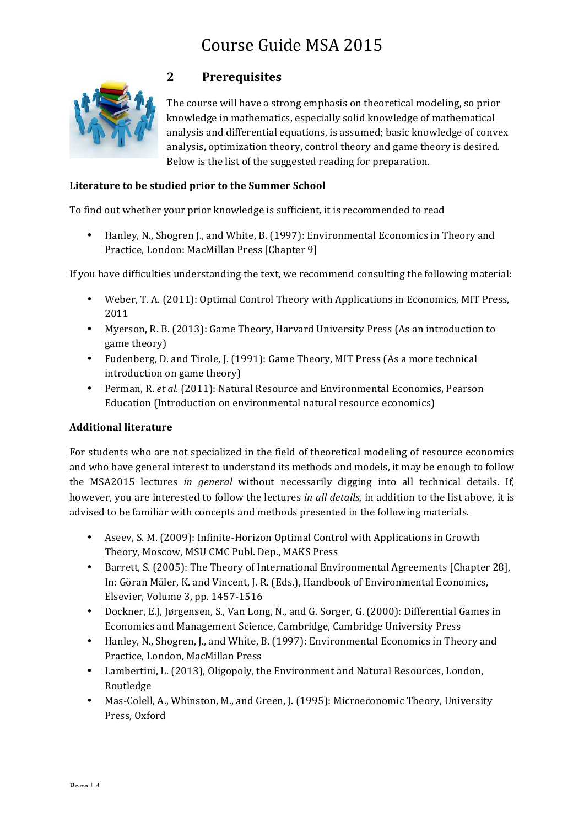

### **2 Prerequisites**

The course will have a strong emphasis on theoretical modeling, so prior knowledge in mathematics, especially solid knowledge of mathematical analysis and differential equations, is assumed; basic knowledge of convex analysis, optimization theory, control theory and game theory is desired. Below is the list of the suggested reading for preparation.

#### Literature to be studied prior to the Summer School

To find out whether your prior knowledge is sufficient, it is recommended to read

• Hanley, N., Shogren J., and White, B. (1997): Environmental Economics in Theory and Practice, London: MacMillan Press [Chapter 9]

If you have difficulties understanding the text, we recommend consulting the following material:

- Weber, T. A. (2011): Optimal Control Theory with Applications in Economics, MIT Press, 2011
- Myerson, R. B. (2013): Game Theory, Harvard University Press (As an introduction to game theory)
- Fudenberg, D. and Tirole, J. (1991): Game Theory, MIT Press (As a more technical introduction on game theory)
- Perman, R. *et al.* (2011): Natural Resource and Environmental Economics, Pearson Education (Introduction on environmental natural resource economics)

#### **Additional literature**

For students who are not specialized in the field of theoretical modeling of resource economics and who have general interest to understand its methods and models, it may be enough to follow the MSA2015 lectures *in general* without necessarily digging into all technical details. If, however, you are interested to follow the lectures *in all details*, in addition to the list above, it is advised to be familiar with concepts and methods presented in the following materials.

- Aseey, S. M. (2009): Infinite-Horizon Optimal Control with Applications in Growth Theory, Moscow, MSU CMC Publ. Dep., MAKS Press
- Barrett, S. (2005): The Theory of International Environmental Agreements [Chapter 28], In: Göran Mäler, K. and Vincent, J. R. (Eds.), Handbook of Environmental Economics, Elsevier, Volume 3, pp. 1457-1516
- Dockner, E.J, Jørgensen, S., Van Long, N., and G. Sorger, G. (2000): Differential Games in Economics and Management Science, Cambridge, Cambridge University Press
- Hanley, N., Shogren, J., and White, B. (1997): Environmental Economics in Theory and Practice, London, MacMillan Press
- Lambertini, L. (2013), Oligopoly, the Environment and Natural Resources, London, Routledge
- Mas-Colell, A., Whinston, M., and Green, J. (1995): Microeconomic Theory, University Press, Oxford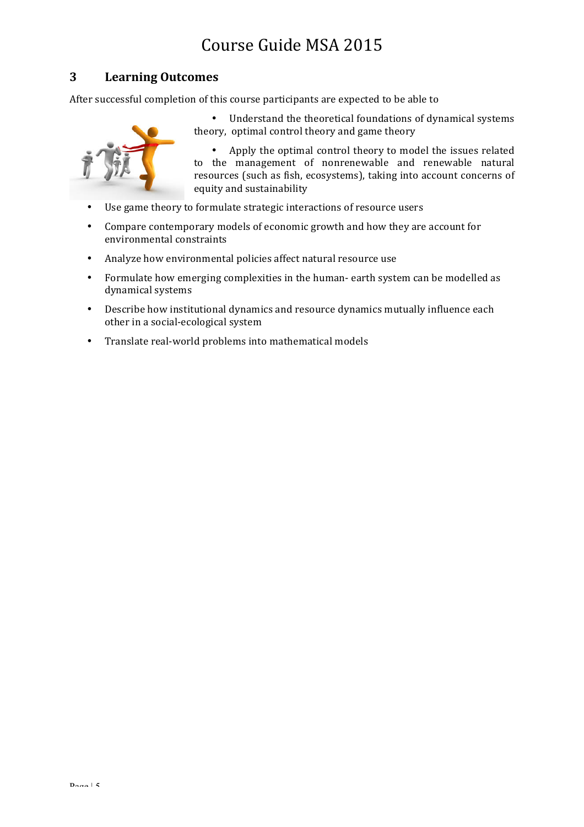### **3 Learning Outcomes**

After successful completion of this course participants are expected to be able to



• Understand the theoretical foundations of dynamical systems theory, optimal control theory and game theory

• Apply the optimal control theory to model the issues related to the management of nonrenewable and renewable natural resources (such as fish, ecosystems), taking into account concerns of equity and sustainability

- Use game theory to formulate strategic interactions of resource users
- Compare contemporary models of economic growth and how they are account for environmental constraints
- Analyze how environmental policies affect natural resource use
- Formulate how emerging complexities in the human- earth system can be modelled as dynamical systems
- Describe how institutional dynamics and resource dynamics mutually influence each other in a social-ecological system
- Translate real-world problems into mathematical models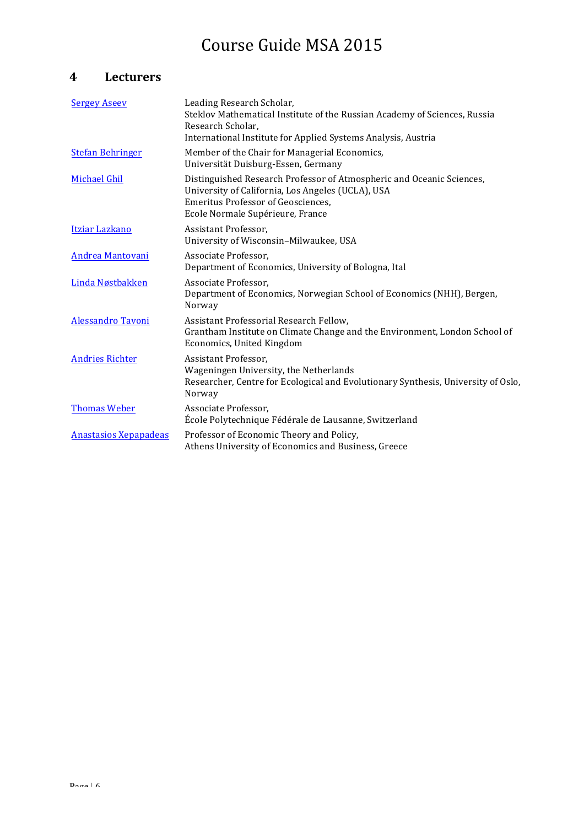### **4 Lecturers**

| <b>Sergey Aseev</b>          | Leading Research Scholar,<br>Steklov Mathematical Institute of the Russian Academy of Sciences, Russia<br>Research Scholar,<br>International Institute for Applied Systems Analysis, Austria                |  |  |
|------------------------------|-------------------------------------------------------------------------------------------------------------------------------------------------------------------------------------------------------------|--|--|
| <b>Stefan Behringer</b>      | Member of the Chair for Managerial Economics,<br>Universität Duisburg-Essen, Germany                                                                                                                        |  |  |
| Michael Ghil                 | Distinguished Research Professor of Atmospheric and Oceanic Sciences,<br>University of California, Los Angeles (UCLA), USA<br><b>Emeritus Professor of Geosciences,</b><br>Ecole Normale Supérieure, France |  |  |
| Itziar Lazkano               | Assistant Professor,<br>University of Wisconsin-Milwaukee, USA                                                                                                                                              |  |  |
| Andrea Mantovani             | Associate Professor,<br>Department of Economics, University of Bologna, Ital                                                                                                                                |  |  |
| Linda Nøstbakken             | Associate Professor,<br>Department of Economics, Norwegian School of Economics (NHH), Bergen,<br>Norway                                                                                                     |  |  |
| <b>Alessandro Tavoni</b>     | Assistant Professorial Research Fellow,<br>Grantham Institute on Climate Change and the Environment, London School of<br>Economics, United Kingdom                                                          |  |  |
| <b>Andries Richter</b>       | Assistant Professor,<br>Wageningen University, the Netherlands<br>Researcher, Centre for Ecological and Evolutionary Synthesis, University of Oslo,<br>Norway                                               |  |  |
| <b>Thomas Weber</b>          | Associate Professor,<br>École Polytechnique Fédérale de Lausanne, Switzerland                                                                                                                               |  |  |
| <b>Anastasios Xepapadeas</b> | Professor of Economic Theory and Policy,<br>Athens University of Economics and Business, Greece                                                                                                             |  |  |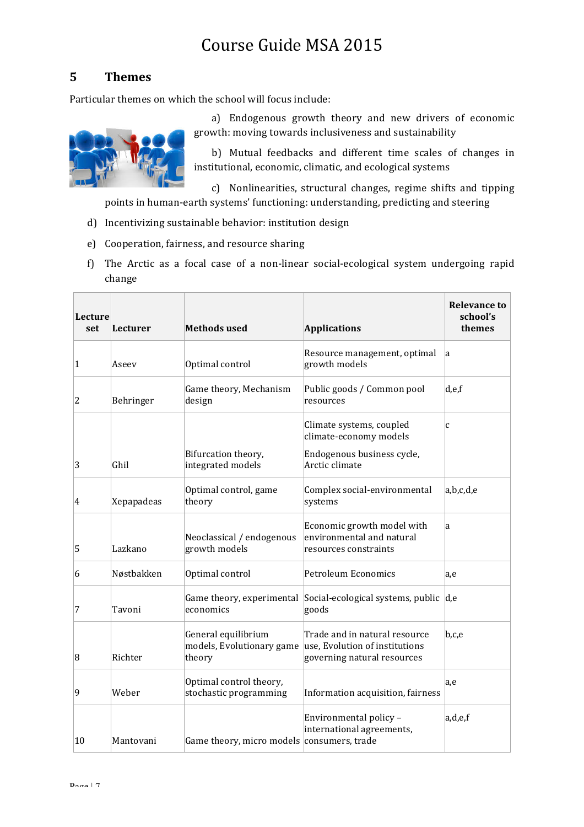### **5 Themes**

Particular themes on which the school will focus include:

a) Endogenous growth theory and new drivers of economic growth: moving towards inclusiveness and sustainability

b) Mutual feedbacks and different time scales of changes in institutional, economic, climatic, and ecological systems

c) Nonlinearities, structural changes, regime shifts and tipping points in human-earth systems' functioning: understanding, predicting and steering

- d) Incentivizing sustainable behavior: institution design
- e) Cooperation, fairness, and resource sharing
- f) The Arctic as a focal case of a non-linear social-ecological system undergoing rapid change

| Lecture<br>set | Lecturer   | <b>Methods used</b>                                        | <b>Applications</b>                                                                            | <b>Relevance to</b><br>school's<br>themes |
|----------------|------------|------------------------------------------------------------|------------------------------------------------------------------------------------------------|-------------------------------------------|
| $\vert$ 1      | Aseev      | Optimal control                                            | Resource management, optimal<br>growth models                                                  | <sup>a</sup>                              |
| $ 2\rangle$    | Behringer  | Game theory, Mechanism<br>design                           | Public goods / Common pool<br>resources                                                        | d.e.f                                     |
|                |            |                                                            | Climate systems, coupled<br>climate-economy models                                             | c                                         |
| 3              | Ghil       | Bifurcation theory,<br>integrated models                   | Endogenous business cycle,<br>Arctic climate                                                   |                                           |
| 4              | Xepapadeas | Optimal control, game<br>theory                            | Complex social-environmental<br>systems                                                        | a,b,c,d,e                                 |
| 5              | Lazkano    | Neoclassical / endogenous<br>growth models                 | Economic growth model with<br>environmental and natural<br>resources constraints               | la.                                       |
| 6              | Nøstbakken | Optimal control                                            | Petroleum Economics                                                                            | a,e                                       |
| 7              | Tavoni     | economics                                                  | Game theory, experimental Social-ecological systems, public d,e<br>goods                       |                                           |
| 8              | Richter    | General equilibrium<br>models, Evolutionary game<br>theory | Trade and in natural resource<br>use, Evolution of institutions<br>governing natural resources | b,c,e                                     |
| 9              | Weber      | Optimal control theory,<br>stochastic programming          | Information acquisition, fairness                                                              | a,e                                       |
| 10             | Mantovani  | Game theory, micro models consumers, trade                 | Environmental policy -<br>international agreements,                                            | a,d,e,f                                   |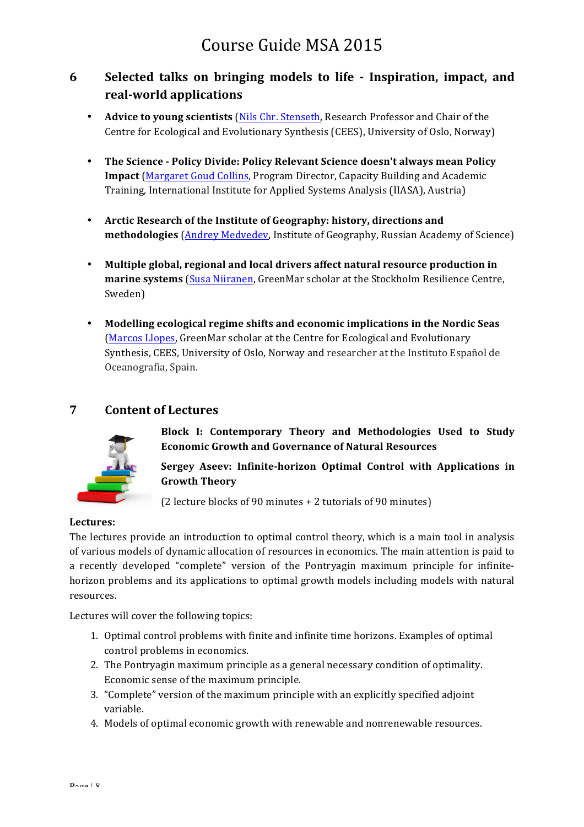### **6 Selected talks on bringing models to life - Inspiration, impact, and real-world applications**

- **Advice to young scientists** (Nils Chr. Stenseth, Research Professor and Chair of the Centre for Ecological and Evolutionary Synthesis (CEES), University of Oslo, Norway)
- The Science Policy Divide: Policy Relevant Science doesn't always mean Policy **Impact** (Margaret Goud Collins, Program Director, Capacity Building and Academic Training, International Institute for Applied Systems Analysis (IIASA), Austria)
- Arctic Research of the Institute of Geography: history, directions and **methodologies** (**Andrey Medvedev**, Institute of Geography, Russian Academy of Science)
- Multiple global, regional and local drivers affect natural resource production in marine systems (Susa Niiranen, GreenMar scholar at the Stockholm Resilience Centre, Sweden)
- Modelling ecological regime shifts and economic implications in the Nordic Seas (Marcos Llopes, GreenMar scholar at the Centre for Ecological and Evolutionary Synthesis, CEES, University of Oslo, Norway and researcher at the Instituto Español de Oceanografia, Spain.

### **7 Content of Lectures**



**Block I: Contemporary Theory and Methodologies Used to Study Economic Growth and Governance of Natural Resources** 

**Sergey Aseev: Infinite-horizon Optimal Control with Applications in Growth Theory** 

 $(2$  lecture blocks of 90 minutes  $+ 2$  tutorials of 90 minutes)

#### Lectures:

The lectures provide an introduction to optimal control theory, which is a main tool in analysis of various models of dynamic allocation of resources in economics. The main attention is paid to a recently developed "complete" version of the Pontryagin maximum principle for infinitehorizon problems and its applications to optimal growth models including models with natural resources.

Lectures will cover the following topics:

- 1. Optimal control problems with finite and infinite time horizons. Examples of optimal control problems in economics.
- 2. The Pontryagin maximum principle as a general necessary condition of optimality. Economic sense of the maximum principle.
- 3. "Complete" version of the maximum principle with an explicitly specified adjoint variable.
- 4. Models of optimal economic growth with renewable and nonrenewable resources.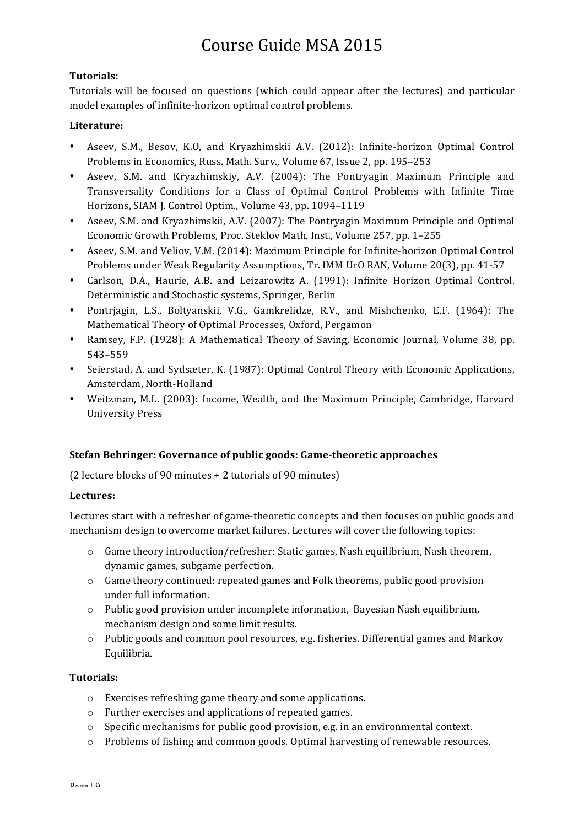#### **Tutorials:**

Tutorials will be focused on questions (which could appear after the lectures) and particular model examples of infinite-horizon optimal control problems.

#### **Literature:**

- Aseev, S.M., Besov, K.O, and Kryazhimskii A.V. (2012): Infinite-horizon Optimal Control Problems in Economics, Russ. Math. Surv., Volume 67, Issue 2, pp. 195-253
- Aseev, S.M. and Kryazhimskiy, A.V. (2004): The Pontryagin Maximum Principle and Transversality Conditions for a Class of Optimal Control Problems with Infinite Time Horizons, SIAM J. Control Optim., Volume 43, pp. 1094-1119
- Aseev, S.M. and Kryazhimskii, A.V. (2007): The Pontryagin Maximum Principle and Optimal Economic Growth Problems, Proc. Steklov Math. Inst., Volume 257, pp. 1-255
- Aseev, S.M. and Veliov, V.M. (2014): Maximum Principle for Infinite-horizon Optimal Control Problems under Weak Regularity Assumptions, Tr. IMM UrO RAN, Volume 20(3), pp. 41-57
- Carlson, D.A., Haurie, A.B. and Leizarowitz A. (1991): Infinite Horizon Optimal Control. Deterministic and Stochastic systems, Springer, Berlin
- Pontrjagin, L.S., Boltyanskii, V.G., Gamkrelidze, R.V., and Mishchenko, E.F. (1964): The Mathematical Theory of Optimal Processes, Oxford, Pergamon
- Ramsey, F.P. (1928): A Mathematical Theory of Saving, Economic Journal, Volume 38, pp. 543–559
- Seierstad, A. and Sydsæter, K. (1987): Optimal Control Theory with Economic Applications, Amsterdam, North-Holland
- Weitzman, M.L. (2003): Income, Wealth, and the Maximum Principle, Cambridge, Harvard University Press

#### **Stefan Behringer: Governance of public goods: Game-theoretic approaches**

 $(2$  lecture blocks of 90 minutes + 2 tutorials of 90 minutes)

#### Lectures:

Lectures start with a refresher of game-theoretic concepts and then focuses on public goods and mechanism design to overcome market failures. Lectures will cover the following topics:

- o Game theory introduction/refresher: Static games, Nash equilibrium, Nash theorem, dynamic games, subgame perfection.
- $\circ$  Game theory continued: repeated games and Folk theorems, public good provision under full information.
- $\circ$  Public good provision under incomplete information, Bayesian Nash equilibrium, mechanism design and some limit results.
- o Public goods and common pool resources, e.g. fisheries. Differential games and Markov Equilibria.

#### **Tutorials:**

- $\circ$  Exercises refreshing game theory and some applications.
- $\circ$  Further exercises and applications of repeated games.
- $\circ$  Specific mechanisms for public good provision, e.g. in an environmental context.
- $\circ$  Problems of fishing and common goods. Optimal harvesting of renewable resources.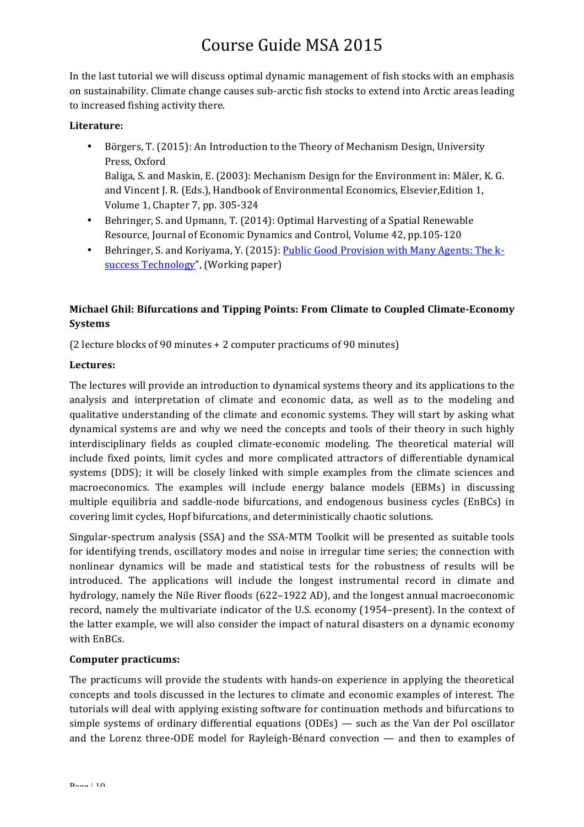In the last tutorial we will discuss optimal dynamic management of fish stocks with an emphasis on sustainability. Climate change causes sub-arctic fish stocks to extend into Arctic areas leading to increased fishing activity there.

#### **Literature:**

- Börgers, T. (2015): An Introduction to the Theory of Mechanism Design, University Press, Oxford Baliga, S. and Maskin, E. (2003): Mechanism Design for the Environment in: Mäler, K. G. and Vincent J. R. (Eds.), Handbook of Environmental Economics, Elsevier, Edition 1, Volume 1, Chapter 7, pp. 305-324
- Behringer, S. and Upmann, T. (2014): Optimal Harvesting of a Spatial Renewable Resource, Journal of Economic Dynamics and Control, Volume 42, pp.105-120
- Behringer, S. and Koriyama, Y. (2015): Public Good Provision with Many Agents: The ksuccess Technology", (Working paper)

### Michael Ghil: Bifurcations and Tipping Points: From Climate to Coupled Climate-Economy **Systems**

 $(2$  lecture blocks of 90 minutes  $+ 2$  computer practicums of 90 minutes)

#### Lectures:

The lectures will provide an introduction to dynamical systems theory and its applications to the analysis and interpretation of climate and economic data, as well as to the modeling and qualitative understanding of the climate and economic systems. They will start by asking what dynamical systems are and why we need the concepts and tools of their theory in such highly interdisciplinary fields as coupled climate-economic modeling. The theoretical material will include fixed points, limit cycles and more complicated attractors of differentiable dynamical systems (DDS); it will be closely linked with simple examples from the climate sciences and macroeconomics. The examples will include energy balance models (EBMs) in discussing multiple equilibria and saddle-node bifurcations, and endogenous business cycles (EnBCs) in covering limit cycles, Hopf bifurcations, and deterministically chaotic solutions.

Singular-spectrum analysis (SSA) and the SSA-MTM Toolkit will be presented as suitable tools for identifying trends, oscillatory modes and noise in irregular time series; the connection with nonlinear dynamics will be made and statistical tests for the robustness of results will be introduced. The applications will include the longest instrumental record in climate and hydrology, namely the Nile River floods (622–1922 AD), and the longest annual macroeconomic record, namely the multivariate indicator of the U.S. economy (1954–present). In the context of the latter example, we will also consider the impact of natural disasters on a dynamic economy with EnBCs.

#### **Computer practicums:**

The practicums will provide the students with hands-on experience in applying the theoretical concepts and tools discussed in the lectures to climate and economic examples of interest. The tutorials will deal with applying existing software for continuation methods and bifurcations to simple systems of ordinary differential equations  $(ODEs)$  — such as the Van der Pol oscillator and the Lorenz three-ODE model for Rayleigh-Bénard convection  $-$  and then to examples of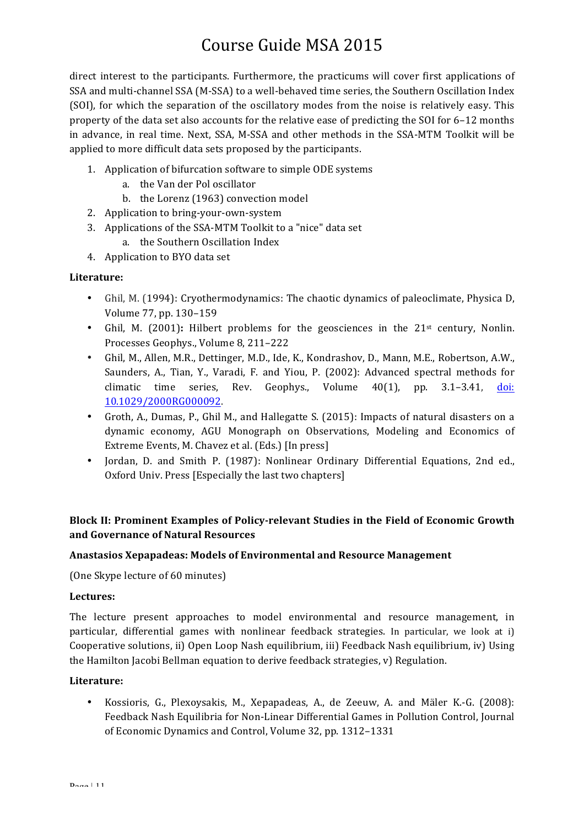direct interest to the participants. Furthermore, the practicums will cover first applications of SSA and multi-channel SSA (M-SSA) to a well-behaved time series, the Southern Oscillation Index (SOI), for which the separation of the oscillatory modes from the noise is relatively easy. This property of the data set also accounts for the relative ease of predicting the SOI for  $6-12$  months in advance, in real time. Next, SSA, M-SSA and other methods in the SSA-MTM Toolkit will be applied to more difficult data sets proposed by the participants.

- 1. Application of bifurcation software to simple ODE systems
	- a. the Van der Pol oscillator
	- b. the Lorenz (1963) convection model
- 2. Application to bring-your-own-system
- 3. Applications of the SSA-MTM Toolkit to a "nice" data set
	- a. the Southern Oscillation Index
- 4. Application to BYO data set

#### **Literature:**

- Ghil, M. (1994): Cryothermodynamics: The chaotic dynamics of paleoclimate, Physica D, Volume 77, pp. 130-159
- Ghil, M. (2001): Hilbert problems for the geosciences in the 21<sup>st</sup> century, Nonlin. Processes Geophys., Volume 8, 211-222
- Ghil, M., Allen, M.R., Dettinger, M.D., Ide, K., Kondrashov, D., Mann, M.E., Robertson, A.W., Saunders, A., Tian, Y., Varadi, F. and Yiou, P. (2002): Advanced spectral methods for climatic time series, Rev. Geophys., Volume  $40(1)$ , pp.  $3.1-3.41$ , doi: 10.1029/2000RG000092.
- Groth, A., Dumas, P., Ghil M., and Hallegatte S. (2015): Impacts of natural disasters on a dynamic economy, AGU Monograph on Observations, Modeling and Economics of Extreme Events, M. Chavez et al. (Eds.) [In press]
- Jordan, D. and Smith P. (1987): Nonlinear Ordinary Differential Equations, 2nd ed., Oxford Univ. Press [Especially the last two chapters]

### Block II: Prominent Examples of Policy-relevant Studies in the Field of Economic Growth **and Governance of Natural Resources**

#### Anastasios Xepapadeas: Models of Environmental and Resource Management

(One Skype lecture of 60 minutes)

#### Lectures:

The lecture present approaches to model environmental and resource management, in particular, differential games with nonlinear feedback strategies. In particular, we look at i) Cooperative solutions, ii) Open Loop Nash equilibrium, iii) Feedback Nash equilibrium, iv) Using the Hamilton Jacobi Bellman equation to derive feedback strategies, v) Regulation.

#### **Literature:**

• Kossioris, G., Plexoysakis, M., Xepapadeas, A., de Zeeuw, A. and Mäler K.-G. (2008): Feedback Nash Equilibria for Non-Linear Differential Games in Pollution Control, Journal of Economic Dynamics and Control, Volume 32, pp. 1312-1331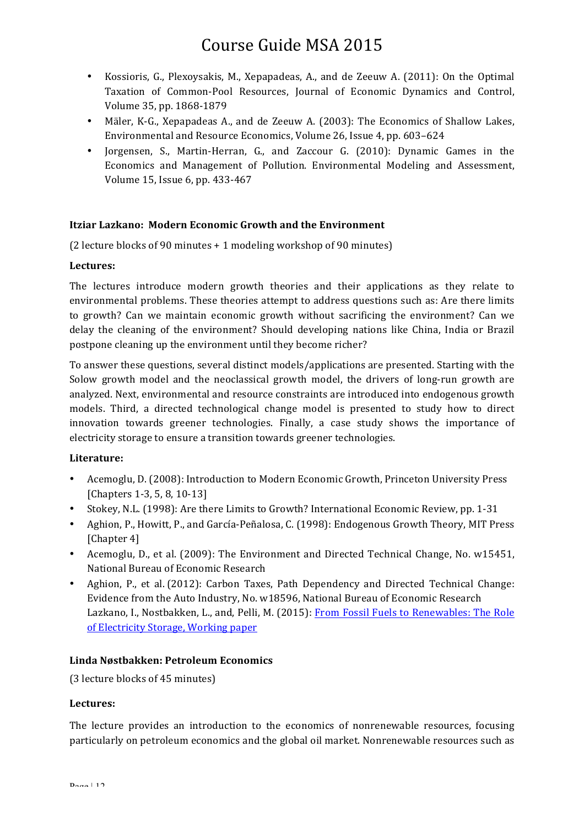- Kossioris, G., Plexoysakis, M., Xepapadeas, A., and de Zeeuw A. (2011): On the Optimal Taxation of Common-Pool Resources, Journal of Economic Dynamics and Control, Volume 35, pp. 1868-1879
- Mäler, K-G., Xepapadeas A., and de Zeeuw A. (2003): The Economics of Shallow Lakes, Environmental and Resource Economics, Volume 26, Issue 4, pp. 603-624
- Jorgensen, S., Martin-Herran, G., and Zaccour G. (2010): Dynamic Games in the Economics and Management of Pollution. Environmental Modeling and Assessment, Volume 15, Issue 6, pp. 433-467

#### **Itziar Lazkano: Modern Economic Growth and the Environment**

 $(2 \text{ lecture blocks of } 90 \text{ minutes } + 1 \text{ modeling workshop of } 90 \text{ minutes})$ 

#### Lectures:

The lectures introduce modern growth theories and their applications as they relate to environmental problems. These theories attempt to address questions such as: Are there limits to growth? Can we maintain economic growth without sacrificing the environment? Can we delay the cleaning of the environment? Should developing nations like China, India or Brazil postpone cleaning up the environment until they become richer?

To answer these questions, several distinct models/applications are presented. Starting with the Solow growth model and the neoclassical growth model, the drivers of long-run growth are analyzed. Next, environmental and resource constraints are introduced into endogenous growth models. Third, a directed technological change model is presented to study how to direct innovation towards greener technologies. Finally, a case study shows the importance of electricity storage to ensure a transition towards greener technologies.

#### Literature:

- Acemoglu, D. (2008): Introduction to Modern Economic Growth, Princeton University Press [Chapters 1-3, 5, 8, 10-13]
- Stokey, N.L. (1998): Are there Limits to Growth? International Economic Review, pp. 1-31
- Aghion, P., Howitt, P., and García-Peñalosa, C. (1998): Endogenous Growth Theory, MIT Press [Chapter 4]
- Acemoglu, D., et al. (2009): The Environment and Directed Technical Change, No. w15451, National Bureau of Economic Research
- Aghion, P., et al. (2012): Carbon Taxes, Path Dependency and Directed Technical Change: Evidence from the Auto Industry, No. w18596, National Bureau of Economic Research Lazkano, I., Nostbakken, L., and, Pelli, M. (2015): From Fossil Fuels to Renewables: The Role of Electricity Storage, Working paper

#### **Linda Nøstbakken: Petroleum Economics**

(3 lecture blocks of 45 minutes)

#### **Lectures:**

The lecture provides an introduction to the economics of nonrenewable resources, focusing particularly on petroleum economics and the global oil market. Nonrenewable resources such as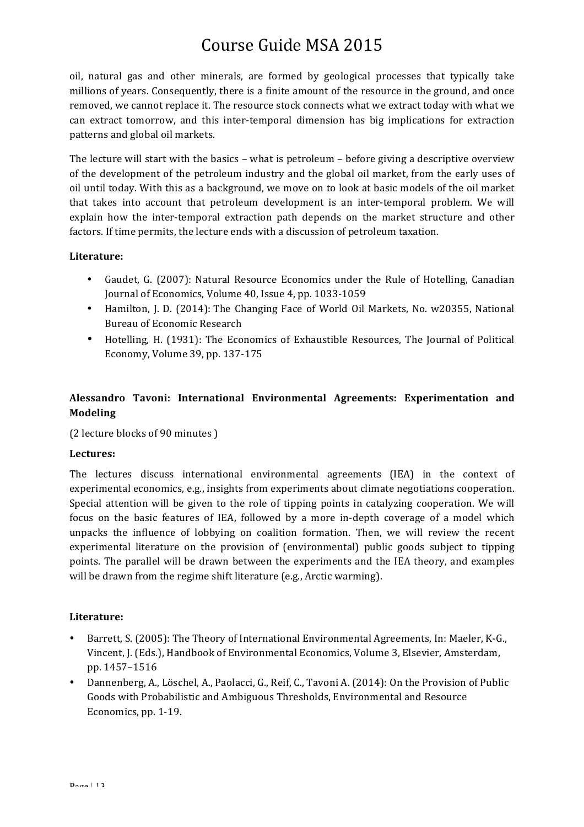oil, natural gas and other minerals, are formed by geological processes that typically take millions of years. Consequently, there is a finite amount of the resource in the ground, and once removed, we cannot replace it. The resource stock connects what we extract today with what we can extract tomorrow, and this inter-temporal dimension has big implications for extraction patterns and global oil markets.

The lecture will start with the basics – what is petroleum – before giving a descriptive overview of the development of the petroleum industry and the global oil market, from the early uses of oil until today. With this as a background, we move on to look at basic models of the oil market that takes into account that petroleum development is an inter-temporal problem. We will explain how the inter-temporal extraction path depends on the market structure and other factors. If time permits, the lecture ends with a discussion of petroleum taxation.

#### **Literature:**

- Gaudet, G. (2007): Natural Resource Economics under the Rule of Hotelling, Canadian Journal of Economics, Volume 40, Issue 4, pp. 1033-1059
- Hamilton, J. D. (2014): The Changing Face of World Oil Markets, No. w20355, National Bureau of Economic Research
- Hotelling, H. (1931): The Economics of Exhaustible Resources, The Journal of Political Economy, Volume 39, pp. 137-175

### Alessandro Tavoni: International Environmental Agreements: Experimentation and **Modeling**

(2 lecture blocks of 90 minutes )

#### Lectures:

The lectures discuss international environmental agreements (IEA) in the context of experimental economics, e.g., insights from experiments about climate negotiations cooperation. Special attention will be given to the role of tipping points in catalyzing cooperation. We will focus on the basic features of IEA, followed by a more in-depth coverage of a model which unpacks the influence of lobbying on coalition formation. Then, we will review the recent experimental literature on the provision of (environmental) public goods subject to tipping points. The parallel will be drawn between the experiments and the IEA theory, and examples will be drawn from the regime shift literature (e.g., Arctic warming).

#### **Literature:**

- Barrett, S. (2005): The Theory of International Environmental Agreements, In: Maeler, K-G., Vincent, J. (Eds.), Handbook of Environmental Economics, Volume 3, Elsevier, Amsterdam, pp. 1457–1516
- Dannenberg, A., Löschel, A., Paolacci, G., Reif, C., Tavoni A. (2014): On the Provision of Public Goods with Probabilistic and Ambiguous Thresholds, Environmental and Resource Economics, pp. 1-19.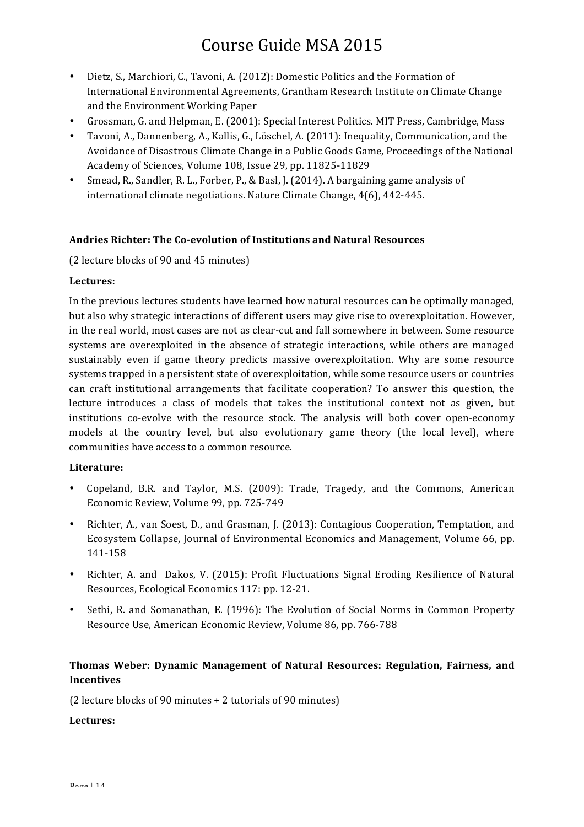- Dietz, S., Marchiori, C., Tavoni, A. (2012): Domestic Politics and the Formation of International Environmental Agreements, Grantham Research Institute on Climate Change and the Environment Working Paper
- Grossman, G. and Helpman, E. (2001): Special Interest Politics. MIT Press, Cambridge, Mass
- Tavoni, A., Dannenberg, A., Kallis, G., Löschel, A. (2011): Inequality, Communication, and the Avoidance of Disastrous Climate Change in a Public Goods Game, Proceedings of the National Academy of Sciences, Volume 108, Issue 29, pp. 11825-11829
- Smead, R., Sandler, R. L., Forber, P., & Basl, J. (2014). A bargaining game analysis of international climate negotiations. Nature Climate Change, 4(6), 442-445.

#### **Andries Richter: The Co-evolution of Institutions and Natural Resources**

(2 lecture blocks of 90 and 45 minutes)

#### Lectures:

In the previous lectures students have learned how natural resources can be optimally managed, but also why strategic interactions of different users may give rise to overexploitation. However, in the real world, most cases are not as clear-cut and fall somewhere in between. Some resource systems are overexploited in the absence of strategic interactions, while others are managed sustainably even if game theory predicts massive overexploitation. Why are some resource systems trapped in a persistent state of overexploitation, while some resource users or countries can craft institutional arrangements that facilitate cooperation? To answer this question, the lecture introduces a class of models that takes the institutional context not as given, but institutions co-evolve with the resource stock. The analysis will both cover open-economy models at the country level, but also evolutionary game theory (the local level), where communities have access to a common resource.

#### **Literature:**

- Copeland, B.R. and Taylor, M.S. (2009): Trade, Tragedy, and the Commons, American Economic Review, Volume 99, pp. 725-749
- Richter, A., van Soest, D., and Grasman, J. (2013): Contagious Cooperation, Temptation, and Ecosystem Collapse, Journal of Environmental Economics and Management, Volume 66, pp. 141-158
- Richter, A. and Dakos, V. (2015): Profit Fluctuations Signal Eroding Resilience of Natural Resources, Ecological Economics 117: pp. 12-21.
- Sethi, R. and Somanathan, E. (1996): The Evolution of Social Norms in Common Property Resource Use, American Economic Review, Volume 86, pp. 766-788

### **Thomas Weber: Dynamic Management of Natural Resources: Regulation, Fairness, and Incentives**

(2 lecture blocks of 90 minutes + 2 tutorials of 90 minutes)

#### Lectures: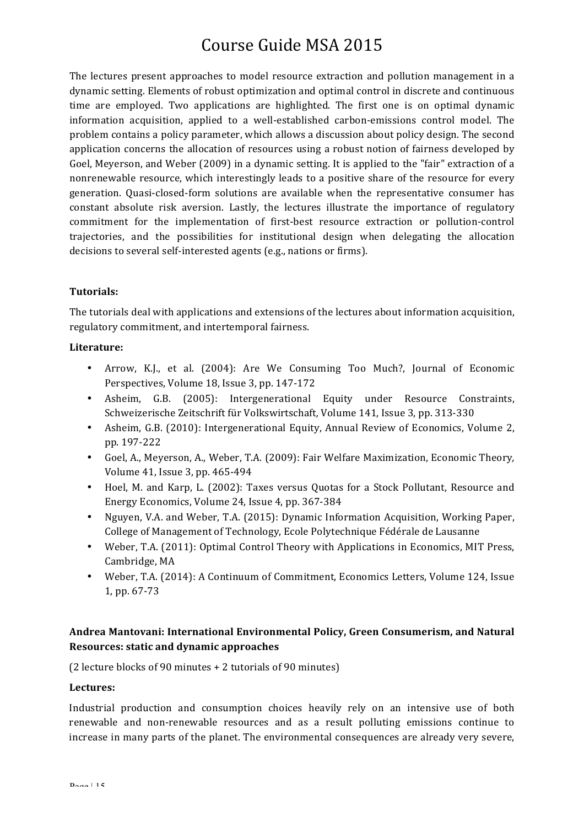The lectures present approaches to model resource extraction and pollution management in a dynamic setting. Elements of robust optimization and optimal control in discrete and continuous time are employed. Two applications are highlighted. The first one is on optimal dynamic information acquisition, applied to a well-established carbon-emissions control model. The problem contains a policy parameter, which allows a discussion about policy design. The second application concerns the allocation of resources using a robust notion of fairness developed by Goel, Meyerson, and Weber (2009) in a dynamic setting. It is applied to the "fair" extraction of a nonrenewable resource, which interestingly leads to a positive share of the resource for every generation. Quasi-closed-form solutions are available when the representative consumer has constant absolute risk aversion. Lastly, the lectures illustrate the importance of regulatory commitment for the implementation of first-best resource extraction or pollution-control trajectories, and the possibilities for institutional design when delegating the allocation decisions to several self-interested agents (e.g., nations or firms).

#### **Tutorials:**

The tutorials deal with applications and extensions of the lectures about information acquisition, regulatory commitment, and intertemporal fairness.

#### **Literature:**

- Arrow, K.J., et al. (2004): Are We Consuming Too Much?, Journal of Economic Perspectives, Volume 18, Issue 3, pp. 147-172
- Asheim, G.B. (2005): Intergenerational Equity under Resource Constraints, Schweizerische Zeitschrift für Volkswirtschaft, Volume 141, Issue 3, pp. 313-330
- Asheim, G.B. (2010): Intergenerational Equity, Annual Review of Economics, Volume 2, pp. 197-222
- Goel, A., Meyerson, A., Weber, T.A. (2009): Fair Welfare Maximization, Economic Theory*,* Volume 41, Issue 3, pp. 465-494
- Hoel, M. and Karp, L. (2002): Taxes versus Quotas for a Stock Pollutant, Resource and Energy Economics, Volume 24, Issue 4, pp. 367-384
- Nguyen, V.A. and Weber, T.A. (2015): Dynamic Information Acquisition, Working Paper, College of Management of Technology, Ecole Polytechnique Fédérale de Lausanne
- Weber, T.A. (2011): Optimal Control Theory with Applications in Economics, MIT Press, Cambridge, MA
- Weber, T.A. (2014): A Continuum of Commitment, Economics Letters, Volume 124, Issue 1, pp. 67-73

### Andrea Mantovani: International Environmental Policy, Green Consumerism, and Natural **Resources: static and dynamic approaches**

(2 lecture blocks of 90 minutes + 2 tutorials of 90 minutes)

#### Lectures:

Industrial production and consumption choices heavily rely on an intensive use of both renewable and non-renewable resources and as a result polluting emissions continue to increase in many parts of the planet. The environmental consequences are already very severe,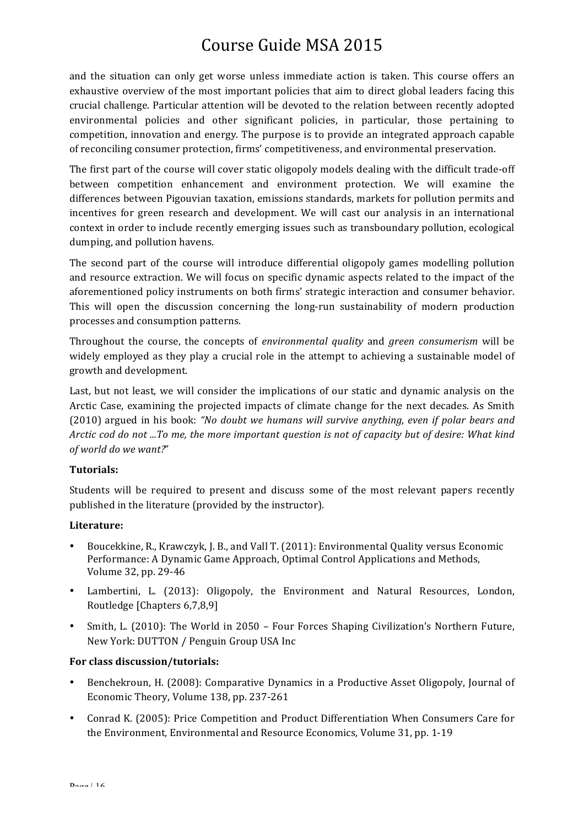and the situation can only get worse unless immediate action is taken. This course offers an exhaustive overview of the most important policies that aim to direct global leaders facing this crucial challenge. Particular attention will be devoted to the relation between recently adopted environmental policies and other significant policies, in particular, those pertaining to competition, innovation and energy. The purpose is to provide an integrated approach capable of reconciling consumer protection, firms' competitiveness, and environmental preservation.

The first part of the course will cover static oligopoly models dealing with the difficult trade-off between competition enhancement and environment protection. We will examine the differences between Pigouvian taxation, emissions standards, markets for pollution permits and incentives for green research and development. We will cast our analysis in an international context in order to include recently emerging issues such as transboundary pollution, ecological dumping, and pollution havens.

The second part of the course will introduce differential oligopoly games modelling pollution and resource extraction. We will focus on specific dynamic aspects related to the impact of the aforementioned policy instruments on both firms' strategic interaction and consumer behavior. This will open the discussion concerning the long-run sustainability of modern production processes and consumption patterns.

Throughout the course, the concepts of *environmental quality* and *green consumerism* will be widely employed as they play a crucial role in the attempt to achieving a sustainable model of growth and development.

Last, but not least, we will consider the implications of our static and dynamic analysis on the Arctic Case, examining the projected impacts of climate change for the next decades. As Smith (2010) argued in his book: *"No doubt we humans will survive anything, even if polar bears and Arctic* cod do not ...To me, the more important question is not of capacity but of desire: What kind *of world do we want?*" 

#### **Tutorials:**

Students will be required to present and discuss some of the most relevant papers recently published in the literature (provided by the instructor).

#### **Literature:**

- Boucekkine, R., Krawczyk, J. B., and Vall T. (2011): Environmental Quality versus Economic Performance: A Dynamic Game Approach, Optimal Control Applications and Methods, Volume 32, pp. 29-46
- Lambertini, L. (2013): Oligopoly, the Environment and Natural Resources, London, Routledge [Chapters 6,7,8,9]
- Smith, L. (2010): The World in 2050 Four Forces Shaping Civilization's Northern Future, New York: DUTTON / Penguin Group USA Inc

#### For class discussion/tutorials:

- Benchekroun, H. (2008): Comparative Dynamics in a Productive Asset Oligopoly, Journal of Economic Theory, Volume 138, pp. 237-261
- Conrad K. (2005): Price Competition and Product Differentiation When Consumers Care for the Environment, Environmental and Resource Economics, Volume 31, pp. 1-19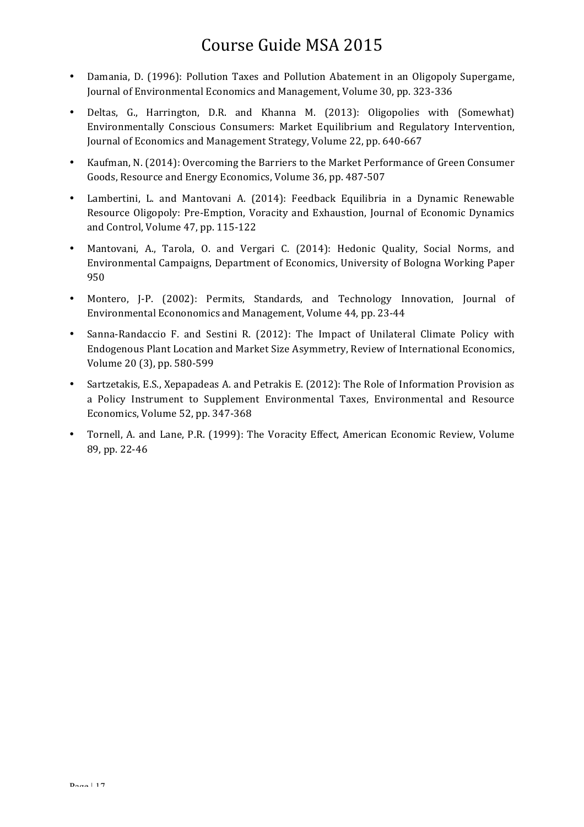- Damania, D. (1996): Pollution Taxes and Pollution Abatement in an Oligopoly Supergame, Journal of Environmental Economics and Management, Volume 30, pp. 323-336
- Deltas, G., Harrington, D.R. and Khanna M. (2013): Oligopolies with (Somewhat) Environmentally Conscious Consumers: Market Equilibrium and Regulatory Intervention, Journal of Economics and Management Strategy, Volume 22, pp. 640-667
- Kaufman, N. (2014): Overcoming the Barriers to the Market Performance of Green Consumer Goods, Resource and Energy Economics, Volume 36, pp. 487-507
- Lambertini, L. and Mantovani A. (2014): Feedback Equilibria in a Dynamic Renewable Resource Oligopoly: Pre-Emption, Voracity and Exhaustion, Journal of Economic Dynamics and Control, Volume 47, pp. 115-122
- Mantovani, A., Tarola, O. and Vergari C. (2014): Hedonic Quality, Social Norms, and Environmental Campaigns, Department of Economics, University of Bologna Working Paper 950
- Montero, J-P. (2002): Permits, Standards, and Technology Innovation, Journal of Environmental Econonomics and Management, Volume 44, pp. 23-44
- Sanna-Randaccio F. and Sestini R. (2012): The Impact of Unilateral Climate Policy with Endogenous Plant Location and Market Size Asymmetry, Review of International Economics, Volume 20 (3), pp. 580-599
- Sartzetakis, E.S., Xepapadeas A. and Petrakis E. (2012): The Role of Information Provision as a Policy Instrument to Supplement Environmental Taxes, Environmental and Resource Economics, Volume 52, pp. 347-368
- Tornell, A. and Lane, P.R. (1999): The Voracity Effect, American Economic Review, Volume 89, pp. 22-46